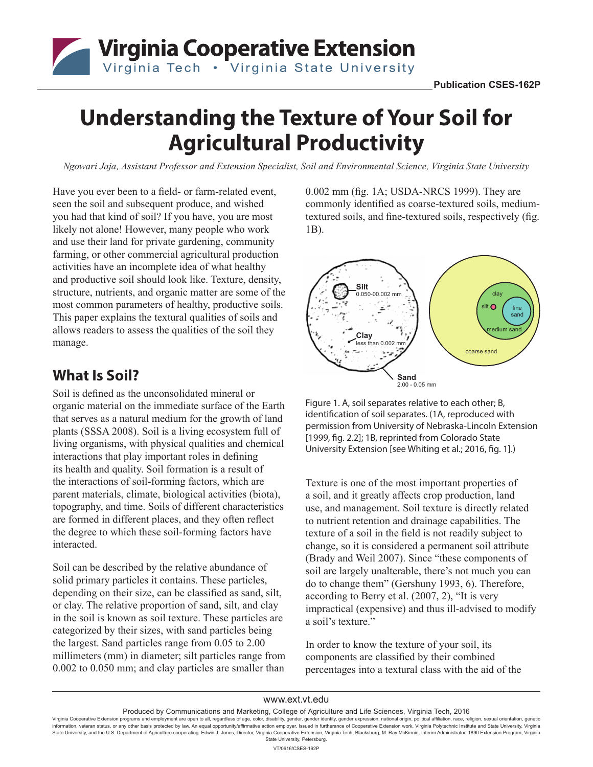

# **Understanding the Texture of Your Soil for Agricultural Productivity**

*Ngowari Jaja, Assistant Professor and Extension Specialist, Soil and Environmental Science, Virginia State University*

Have you ever been to a field- or farm-related event, seen the soil and subsequent produce, and wished you had that kind of soil? If you have, you are most likely not alone! However, many people who work and use their land for private gardening, community farming, or other commercial agricultural production activities have an incomplete idea of what healthy and productive soil should look like. Texture, density, structure, nutrients, and organic matter are some of the most common parameters of healthy, productive soils. This paper explains the textural qualities of soils and allows readers to assess the qualities of the soil they manage.

### **What Is Soil?**

Soil is defined as the unconsolidated mineral or organic material on the immediate surface of the Earth that serves as a natural medium for the growth of land plants (SSSA 2008). Soil is a living ecosystem full of living organisms, with physical qualities and chemical interactions that play important roles in defining its health and quality. Soil formation is a result of the interactions of soil-forming factors, which are parent materials, climate, biological activities (biota), topography, and time. Soils of different characteristics are formed in different places, and they often reflect the degree to which these soil-forming factors have interacted.

Soil can be described by the relative abundance of solid primary particles it contains. These particles, depending on their size, can be classified as sand, silt, or clay. The relative proportion of sand, silt, and clay in the soil is known as soil texture. These particles are categorized by their sizes, with sand particles being the largest. Sand particles range from 0.05 to 2.00 millimeters (mm) in diameter; silt particles range from 0.002 to 0.050 mm; and clay particles are smaller than

0.002 mm (fig. 1A; USDA-NRCS 1999). They are commonly identified as coarse-textured soils, mediumtextured soils, and fine-textured soils, respectively (fig. 1B).



Figure 1. A, soil separates relative to each other; B, identification of soil separates. (1A, reproduced with permission from University of Nebraska-Lincoln Extension [1999, fig. 2.2]; 1B, reprinted from Colorado State University Extension [see Whiting et al.; 2016, fig. 1].)

Texture is one of the most important properties of a soil, and it greatly affects crop production, land use, and management. Soil texture is directly related to nutrient retention and drainage capabilities. The texture of a soil in the field is not readily subject to change, so it is considered a permanent soil attribute (Brady and Weil 2007). Since "these components of soil are largely unalterable, there's not much you can do to change them" (Gershuny 1993, 6). Therefore, according to Berry et al. (2007, 2), "It is very impractical (expensive) and thus ill-advised to modify a soil's texture."

In order to know the texture of your soil, its components are classified by their combined percentages into a textural class with the aid of the

Produced by Communications and Marketing, College of Agriculture and Life Sciences, Virginia Tech, 2016

Virginia Cooperative Extension programs and employment are open to all, regardless of age, color, disability, gender, gender identity, gender expression, national origin, political affiliation, race, religion, sexual orien """-""-""-"-"-""-""-""-""-""-""-"" home of the passis protected by law. An equal opportunity/affirmative action employer. Issued in furtherance of Cooperative Extension work, Virginia Polytechnic Institute and State Univer State University, and the U.S. Department of Agriculture cooperating. Edwin J. Jones, Director, Virginia Cooperative Extension, Virginia Tech, Blacksburg; M. Ray McKinnie, Interim Administrator, 1890 Extension Program, Vir State University, Petersburg.

VT/0616/CSES-162P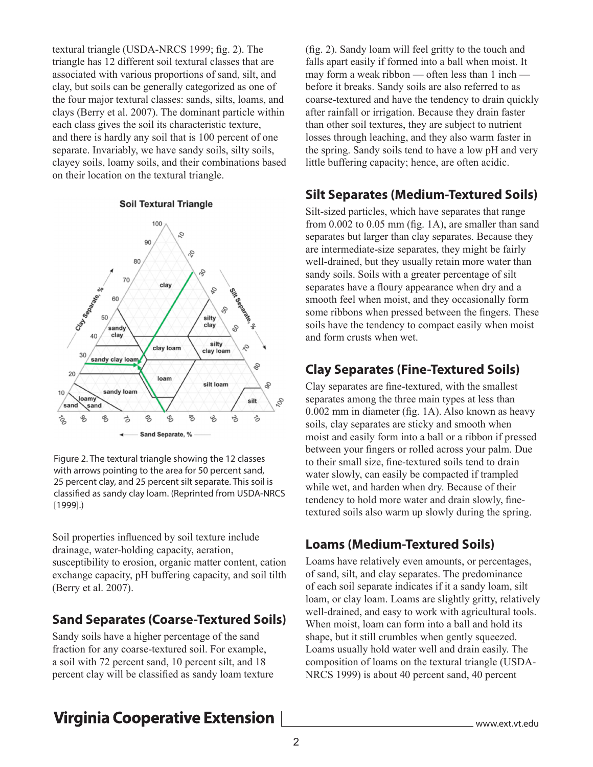textural triangle (USDA-NRCS 1999; fig. 2). The triangle has 12 different soil textural classes that are associated with various proportions of sand, silt, and clay, but soils can be generally categorized as one of the four major textural classes: sands, silts, loams, and clays (Berry et al. 2007). The dominant particle within each class gives the soil its characteristic texture, and there is hardly any soil that is 100 percent of one separate. Invariably, we have sandy soils, silty soils, clayey soils, loamy soils, and their combinations based on their location on the textural triangle.

#### **Soil Textural Triangle**



Figure 2. The textural triangle showing the 12 classes with arrows pointing to the area for 50 percent sand, 25 percent clay, and 25 percent silt separate. This soil is classified as sandy clay loam. (Reprinted from USDA-NRCS [1999].)

Soil properties influenced by soil texture include drainage, water-holding capacity, aeration, susceptibility to erosion, organic matter content, cation exchange capacity, pH buffering capacity, and soil tilth (Berry et al. 2007).

#### **Sand Separates (Coarse-Textured Soils)**

Sandy soils have a higher percentage of the sand fraction for any coarse-textured soil. For example, a soil with 72 percent sand, 10 percent silt, and 18 percent clay will be classified as sandy loam texture (fig. 2). Sandy loam will feel gritty to the touch and falls apart easily if formed into a ball when moist. It may form a weak ribbon — often less than 1 inch before it breaks. Sandy soils are also referred to as coarse-textured and have the tendency to drain quickly after rainfall or irrigation. Because they drain faster than other soil textures, they are subject to nutrient losses through leaching, and they also warm faster in the spring. Sandy soils tend to have a low pH and very little buffering capacity; hence, are often acidic.

#### **Silt Separates (Medium-Textured Soils)**

Silt-sized particles, which have separates that range from 0.002 to 0.05 mm (fig. 1A), are smaller than sand separates but larger than clay separates. Because they are intermediate-size separates, they might be fairly well-drained, but they usually retain more water than sandy soils. Soils with a greater percentage of silt separates have a floury appearance when dry and a smooth feel when moist, and they occasionally form some ribbons when pressed between the fingers. These soils have the tendency to compact easily when moist and form crusts when wet.

### **Clay Separates (Fine-Textured Soils)**

Clay separates are fine-textured, with the smallest separates among the three main types at less than 0.002 mm in diameter (fig. 1A). Also known as heavy soils, clay separates are sticky and smooth when moist and easily form into a ball or a ribbon if pressed between your fingers or rolled across your palm. Due to their small size, fine-textured soils tend to drain water slowly, can easily be compacted if trampled while wet, and harden when dry. Because of their tendency to hold more water and drain slowly, finetextured soils also warm up slowly during the spring.

#### **Loams (Medium-Textured Soils)**

Loams have relatively even amounts, or percentages, of sand, silt, and clay separates. The predominance of each soil separate indicates if it a sandy loam, silt loam, or clay loam. Loams are slightly gritty, relatively well-drained, and easy to work with agricultural tools. When moist, loam can form into a ball and hold its shape, but it still crumbles when gently squeezed. Loams usually hold water well and drain easily. The composition of loams on the textural triangle (USDA-NRCS 1999) is about 40 percent sand, 40 percent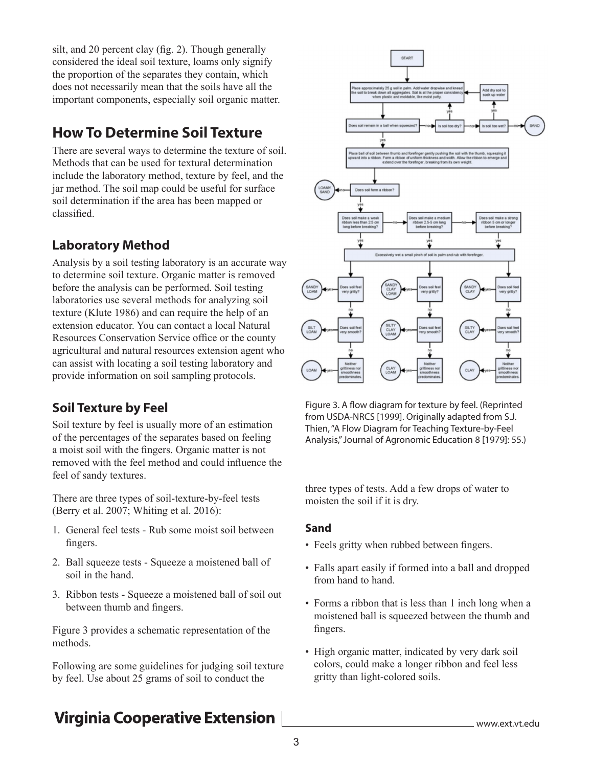silt, and 20 percent clay (fig. 2). Though generally considered the ideal soil texture, loams only signify the proportion of the separates they contain, which does not necessarily mean that the soils have all the important components, especially soil organic matter.

## **How To Determine Soil Texture**

There are several ways to determine the texture of soil. Methods that can be used for textural determination include the laboratory method, texture by feel, and the jar method. The soil map could be useful for surface soil determination if the area has been mapped or classified.

### **Laboratory Method**

Analysis by a soil testing laboratory is an accurate way to determine soil texture. Organic matter is removed before the analysis can be performed. Soil testing laboratories use several methods for analyzing soil texture (Klute 1986) and can require the help of an extension educator. You can contact a local Natural Resources Conservation Service office or the county agricultural and natural resources extension agent who can assist with locating a soil testing laboratory and provide information on soil sampling protocols.

### **Soil Texture by Feel**

Soil texture by feel is usually more of an estimation of the percentages of the separates based on feeling a moist soil with the fingers. Organic matter is not removed with the feel method and could influence the feel of sandy textures.

There are three types of soil-texture-by-feel tests (Berry et al. 2007; Whiting et al. 2016):

- 1. General feel tests Rub some moist soil between fingers.
- 2. Ball squeeze tests Squeeze a moistened ball of soil in the hand.
- 3. Ribbon tests Squeeze a moistened ball of soil out between thumb and fingers.

Figure 3 provides a schematic representation of the methods.

Following are some guidelines for judging soil texture by feel. Use about 25 grams of soil to conduct the



Figure 3. A flow diagram for texture by feel. (Reprinted from USDA-NRCS [1999]. Originally adapted from S.J. Thien, "A Flow Diagram for Teaching Texture-by-Feel Analysis," Journal of Agronomic Education 8 [1979]: 55.)

three types of tests. Add a few drops of water to moisten the soil if it is dry.

#### **Sand**

- Feels gritty when rubbed between fingers.
- Falls apart easily if formed into a ball and dropped from hand to hand.
- Forms a ribbon that is less than 1 inch long when a moistened ball is squeezed between the thumb and fingers.
- High organic matter, indicated by very dark soil colors, could make a longer ribbon and feel less gritty than light-colored soils.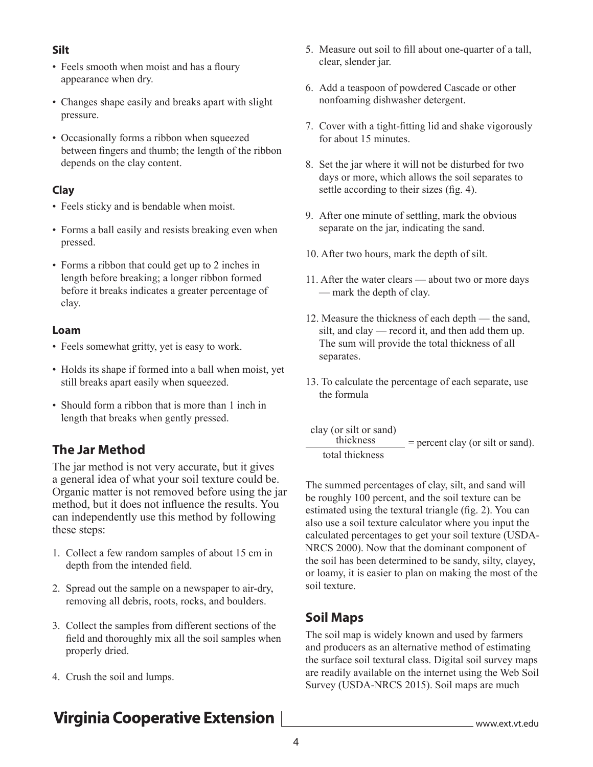#### **Silt**

- Feels smooth when moist and has a floury appearance when dry.
- Changes shape easily and breaks apart with slight pressure.
- Occasionally forms a ribbon when squeezed between fingers and thumb; the length of the ribbon depends on the clay content.

#### **Clay**

- Feels sticky and is bendable when moist.
- Forms a ball easily and resists breaking even when pressed.
- Forms a ribbon that could get up to 2 inches in length before breaking; a longer ribbon formed before it breaks indicates a greater percentage of clay.

#### **Loam**

- Feels somewhat gritty, yet is easy to work.
- Holds its shape if formed into a ball when moist, yet still breaks apart easily when squeezed.
- Should form a ribbon that is more than 1 inch in length that breaks when gently pressed.

### **The Jar Method**

The jar method is not very accurate, but it gives a general idea of what your soil texture could be. Organic matter is not removed before using the jar method, but it does not influence the results. You can independently use this method by following these steps:

- 1. Collect a few random samples of about 15 cm in depth from the intended field.
- 2. Spread out the sample on a newspaper to air-dry, removing all debris, roots, rocks, and boulders.
- 3. Collect the samples from different sections of the field and thoroughly mix all the soil samples when properly dried.
- 4. Crush the soil and lumps.
- 5. Measure out soil to fill about one-quarter of a tall, clear, slender jar.
- 6. Add a teaspoon of powdered Cascade or other nonfoaming dishwasher detergent.
- 7. Cover with a tight-fitting lid and shake vigorously for about 15 minutes.
- 8. Set the jar where it will not be disturbed for two days or more, which allows the soil separates to settle according to their sizes (fig. 4).
- 9. After one minute of settling, mark the obvious separate on the jar, indicating the sand.
- 10. After two hours, mark the depth of silt.
- 11. After the water clears about two or more days — mark the depth of clay.
- 12. Measure the thickness of each depth the sand, silt, and clay — record it, and then add them up. The sum will provide the total thickness of all separates.
- 13. To calculate the percentage of each separate, use the formula
- clay (or silt or sand)  $=$  percent clay (or silt or sand). total thickness

The summed percentages of clay, silt, and sand will be roughly 100 percent, and the soil texture can be estimated using the textural triangle (fig. 2). You can also use a soil texture calculator where you input the calculated percentages to get your soil texture (USDA-NRCS 2000). Now that the dominant component of the soil has been determined to be sandy, silty, clayey, or loamy, it is easier to plan on making the most of the soil texture.

#### **Soil Maps**

The soil map is widely known and used by farmers and producers as an alternative method of estimating the surface soil textural class. Digital soil survey maps are readily available on the internet using the Web Soil Survey (USDA-NRCS 2015). Soil maps are much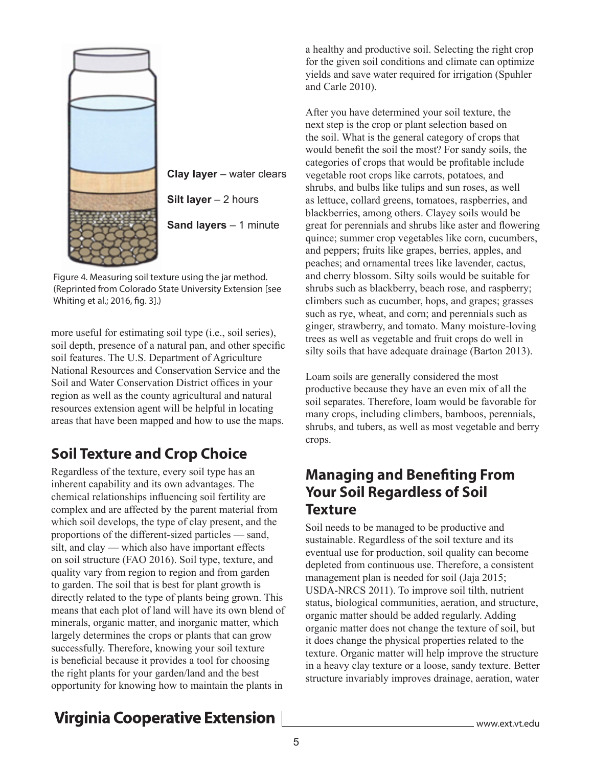

**Clay layer** – water clears **Silt layer** – 2 hours **Sand layers** – 1 minute

Figure 4. Measuring soil texture using the jar method. (Reprinted from Colorado State University Extension [see Whiting et al.; 2016, fig. 3].)

more useful for estimating soil type (i.e., soil series), soil depth, presence of a natural pan, and other specific soil features. The U.S. Department of Agriculture National Resources and Conservation Service and the Soil and Water Conservation District offices in your region as well as the county agricultural and natural resources extension agent will be helpful in locating areas that have been mapped and how to use the maps.

# **Soil Texture and Crop Choice**

Regardless of the texture, every soil type has an inherent capability and its own advantages. The chemical relationships influencing soil fertility are complex and are affected by the parent material from which soil develops, the type of clay present, and the proportions of the different-sized particles — sand, silt, and clay — which also have important effects on soil structure (FAO 2016). Soil type, texture, and quality vary from region to region and from garden to garden. The soil that is best for plant growth is directly related to the type of plants being grown. This means that each plot of land will have its own blend of minerals, organic matter, and inorganic matter, which largely determines the crops or plants that can grow successfully. Therefore, knowing your soil texture is beneficial because it provides a tool for choosing the right plants for your garden/land and the best opportunity for knowing how to maintain the plants in

a healthy and productive soil. Selecting the right crop for the given soil conditions and climate can optimize yields and save water required for irrigation (Spuhler and Carle 2010).

After you have determined your soil texture, the next step is the crop or plant selection based on the soil. What is the general category of crops that would benefit the soil the most? For sandy soils, the categories of crops that would be profitable include vegetable root crops like carrots, potatoes, and shrubs, and bulbs like tulips and sun roses, as well as lettuce, collard greens, tomatoes, raspberries, and blackberries, among others. Clayey soils would be great for perennials and shrubs like aster and flowering quince; summer crop vegetables like corn, cucumbers, and peppers; fruits like grapes, berries, apples, and peaches; and ornamental trees like lavender, cactus, and cherry blossom. Silty soils would be suitable for shrubs such as blackberry, beach rose, and raspberry; climbers such as cucumber, hops, and grapes; grasses such as rye, wheat, and corn; and perennials such as ginger, strawberry, and tomato. Many moisture-loving trees as well as vegetable and fruit crops do well in silty soils that have adequate drainage (Barton 2013).

Loam soils are generally considered the most productive because they have an even mix of all the soil separates. Therefore, loam would be favorable for many crops, including climbers, bamboos, perennials, shrubs, and tubers, as well as most vegetable and berry crops.

### **Managing and Benefiting From Your Soil Regardless of Soil Texture**

Soil needs to be managed to be productive and sustainable. Regardless of the soil texture and its eventual use for production, soil quality can become depleted from continuous use. Therefore, a consistent management plan is needed for soil (Jaja 2015; USDA-NRCS 2011). To improve soil tilth, nutrient status, biological communities, aeration, and structure, organic matter should be added regularly. Adding organic matter does not change the texture of soil, but it does change the physical properties related to the texture. Organic matter will help improve the structure in a heavy clay texture or a loose, sandy texture. Better structure invariably improves drainage, aeration, water